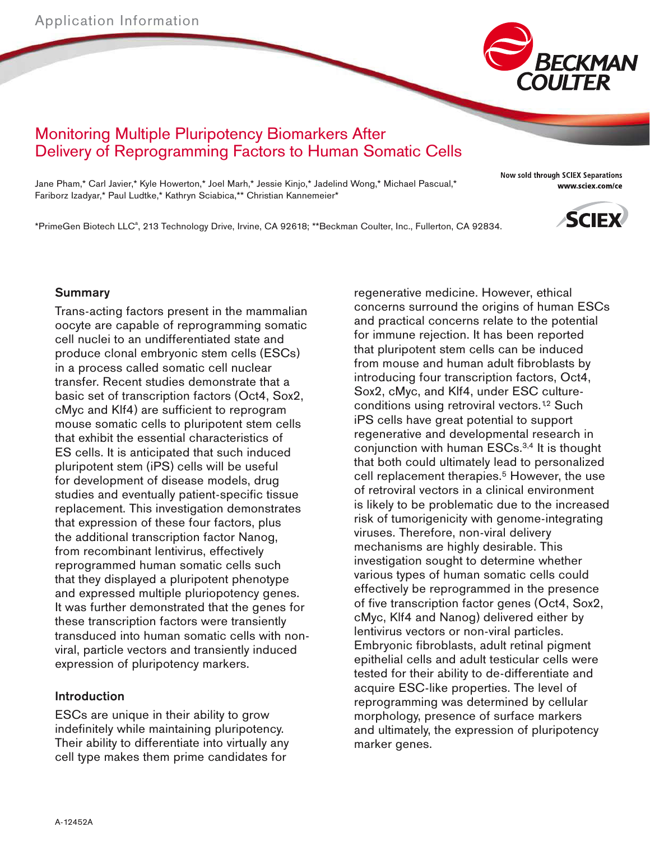

# Monitoring Multiple Pluripotency Biomarkers After Delivery of Reprogramming Factors to Human Somatic Cells

Jane Pham,\* Carl Javier,\* Kyle Howerton,\* Joel Marh,\* Jessie Kinjo,\* Jadelind Wong,\* Michael Pascual,\* Fariborz Izadyar,\* Paul Ludtke,\* Kathryn Sciabica,\*\* Christian Kannemeier\*

Now sold through SCIEX Separations www.sciex.com/ce

\*PrimeGen Biotech LLC<sup>a</sup>, 213 Technology Drive, Irvine, CA 92618; \*\*Beckman Coulter, Inc., Fullerton, CA 92834.



### Summary

Trans-acting factors present in the mammalian oocyte are capable of reprogramming somatic cell nuclei to an undifferentiated state and produce clonal embryonic stem cells (ESCs) in a process called somatic cell nuclear transfer. Recent studies demonstrate that a basic set of transcription factors (Oct4, Sox2, cMyc and Klf4) are sufficient to reprogram mouse somatic cells to pluripotent stem cells that exhibit the essential characteristics of ES cells. It is anticipated that such induced pluripotent stem (iPS) cells will be useful for development of disease models, drug studies and eventually patient-specific tissue replacement. This investigation demonstrates that expression of these four factors, plus the additional transcription factor Nanog, from recombinant lentivirus, effectively reprogrammed human somatic cells such that they displayed a pluripotent phenotype and expressed multiple pluriopotency genes. It was further demonstrated that the genes for these transcription factors were transiently transduced into human somatic cells with nonviral, particle vectors and transiently induced expression of pluripotency markers.

#### Introduction

ESCs are unique in their ability to grow indefinitely while maintaining pluripotency. Their ability to differentiate into virtually any cell type makes them prime candidates for

regenerative medicine. However, ethical concerns surround the origins of human ESCs and practical concerns relate to the potential for immune rejection. It has been reported that pluripotent stem cells can be induced from mouse and human adult fibroblasts by introducing four transcription factors, Oct4, Sox2, cMyc, and Klf4, under ESC cultureconditions using retroviral vectors.<sup>12</sup> Such iPS cells have great potential to support regenerative and developmental research in conjunction with human ESCs.3,4 It is thought that both could ultimately lead to personalized cell replacement therapies.<sup>5</sup> However, the use of retroviral vectors in a clinical environment is likely to be problematic due to the increased risk of tumorigenicity with genome-integrating viruses. Therefore, non-viral delivery mechanisms are highly desirable. This investigation sought to determine whether various types of human somatic cells could effectively be reprogrammed in the presence of five transcription factor genes (Oct4, Sox2, cMyc, Klf4 and Nanog) delivered either by lentivirus vectors or non-viral particles. Embryonic fibroblasts, adult retinal pigment epithelial cells and adult testicular cells were tested for their ability to de-differentiate and acquire ESC-like properties. The level of reprogramming was determined by cellular morphology, presence of surface markers and ultimately, the expression of pluripotency marker genes.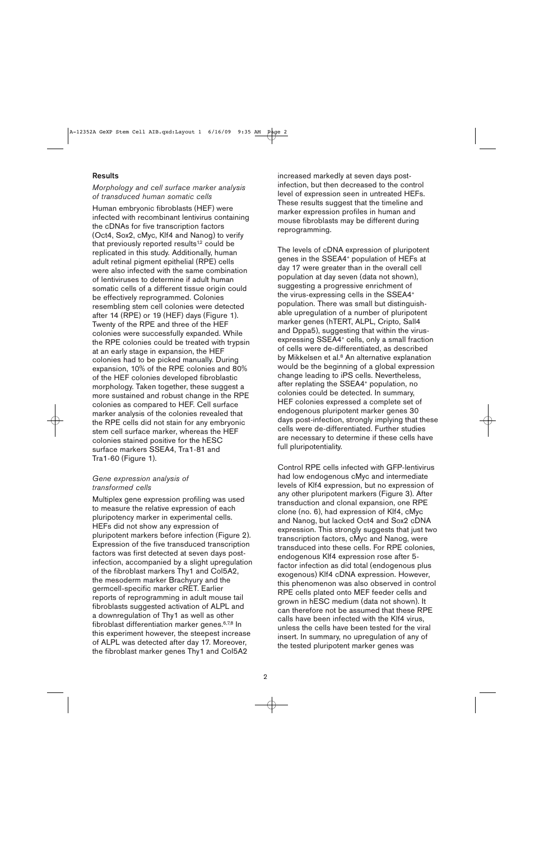#### **Results**

#### Morphology and cell surface marker analysis of transduced human somatic cells

Human embryonic fibroblasts (HEF) were infected with recombinant lentivirus containing the cDNAs for five transcription factors (Oct4, Sox2, cMyc, Klf4 and Nanog) to verify that previously reported results<sup> $12$ </sup> could be replicated in this study. Additionally, human adult retinal pigment epithelial (RPE) cells were also infected with the same combination of lentiviruses to determine if adult human somatic cells of a different tissue origin could be effectively reprogrammed. Colonies resembling stem cell colonies were detected after 14 (RPE) or 19 (HEF) days (Figure 1). Twenty of the RPE and three of the HEF colonies were successfully expanded. While the RPE colonies could be treated with trypsin at an early stage in expansion, the HEF colonies had to be picked manually. During expansion, 10% of the RPE colonies and 80% of the HEF colonies developed fibroblastic morphology. Taken together, these suggest a more sustained and robust change in the RPE colonies as compared to HEF. Cell surface marker analysis of the colonies revealed that the RPE cells did not stain for any embryonic stem cell surface marker, whereas the HEF colonies stained positive for the hESC surface markers SSEA4, Tra1-81 and Tra1-60 (Figure 1).

#### Gene expression analysis of transformed cells

Multiplex gene expression profiling was used to measure the relative expression of each pluripotency marker in experimental cells. HEFs did not show any expression of pluripotent markers before infection (Figure 2). Expression of the five transduced transcription factors was first detected at seven days postinfection, accompanied by a slight upregulation of the fibroblast markers Thy1 and Col5A2, the mesoderm marker Brachyury and the germcell-specific marker cRET. Earlier reports of reprogramming in adult mouse tail fibroblasts suggested activation of ALPL and a downregulation of Thy1 as well as other fibroblast differentiation marker genes.6,7,8 In this experiment however, the steepest increase of ALPL was detected after day 17. Moreover, the fibroblast marker genes Thy1 and Col5A2

increased markedly at seven days postinfection, but then decreased to the control level of expression seen in untreated HEFs. These results suggest that the timeline and marker expression profiles in human and mouse fibroblasts may be different during reprogramming.

The levels of cDNA expression of pluripotent genes in the SSEA4+ population of HEFs at day 17 were greater than in the overall cell population at day seven (data not shown), suggesting a progressive enrichment of the virus-expressing cells in the SSEA4+ population. There was small but distinguish able upregulation of a number of pluripotent marker genes (hTERT, ALPL, Cripto, Sall4 and Dppa5), suggesting that within the virusexpressing SSEA4<sup>+</sup> cells, only a small fraction of cells were de-differentiated, as described by Mikkelsen et al.<sup>8</sup> An alternative explanation would be the beginning of a global expression change leading to iPS cells. Nevertheless, after replating the SSEA4<sup>+</sup> population, no colonies could be detected. In summary, HEF colonies expressed a complete set of endogenous pluripotent marker genes 30 days post-infection, strongly implying that these cells were de-differentiated. Further studies are necessary to determine if these cells have full pluripotentiality.

Control RPE cells infected with GFP-lentivirus had low endogenous cMyc and intermediate levels of Klf4 expression, but no expression of any other pluripotent markers (Figure 3). After transduction and clonal expansion, one RPE clone (no. 6), had expression of Klf4, cMyc and Nanog, but lacked Oct4 and Sox2 cDNA expression. This strongly suggests that just two transcription factors, cMyc and Nanog, were transduced into these cells. For RPE colonies, endogenous Klf4 expression rose after 5 factor infection as did total (endogenous plus exogenous) Klf4 cDNA expression. However, this phenomenon was also observed in control RPE cells plated onto MEF feeder cells and grown in hESC medium (data not shown). It can therefore not be assumed that these RPE calls have been infected with the Klf4 virus, unless the cells have been tested for the viral insert. In summary, no upregulation of any of the tested pluripotent marker genes was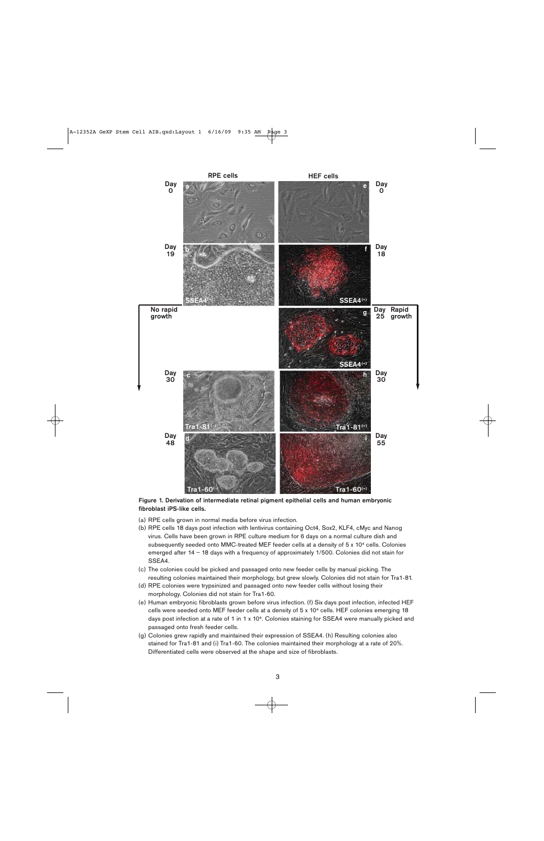

Figure 1. Derivation of intermediate retinal pigment epithelial cells and human embryonic fibroblast iPS-like cells.

- (a) RPE cells grown in normal media before virus infection.
- (b) RPE cells 18 days post infection with lentivirus containing Oct4, Sox2, KLF4, cMyc and Nanog virus. Cells have been grown in RPE culture medium for 6 days on a normal culture dish and subsequently seeded onto MMC-treated MEF feeder cells at a density of 5 x 10<sup>4</sup> cells. Colonies emerged after 14 – 18 days with a frequency of approximately 1/500. Colonies did not stain for SSEA4.
- (c) The colonies could be picked and passaged onto new feeder cells by manual picking. The resulting colonies maintained their morphology, but grew slowly. Colonies did not stain for Tra1-81.
- (d) RPE colonies were trypsinized and passaged onto new feeder cells without losing their morphology. Colonies did not stain for Tra1-60.
- (e) Human embryonic fibroblasts grown before virus infection. (f) Six days post infection, infected HEF cells were seeded onto MEF feeder cells at a density of 5 x 104 cells. HEF colonies emerging 18 days post infection at a rate of 1 in 1 x 10<sup>4</sup>. Colonies staining for SSEA4 were manually picked and passaged onto fresh feeder cells.
- (g) Colonies grew rapidly and maintained their expression of SSEA4. (h) Resulting colonies also stained for Tra1-81 and (i) Tra1-60. The colonies maintained their morphology at a rate of 20%. Differentiated cells were observed at the shape and size of fibroblasts.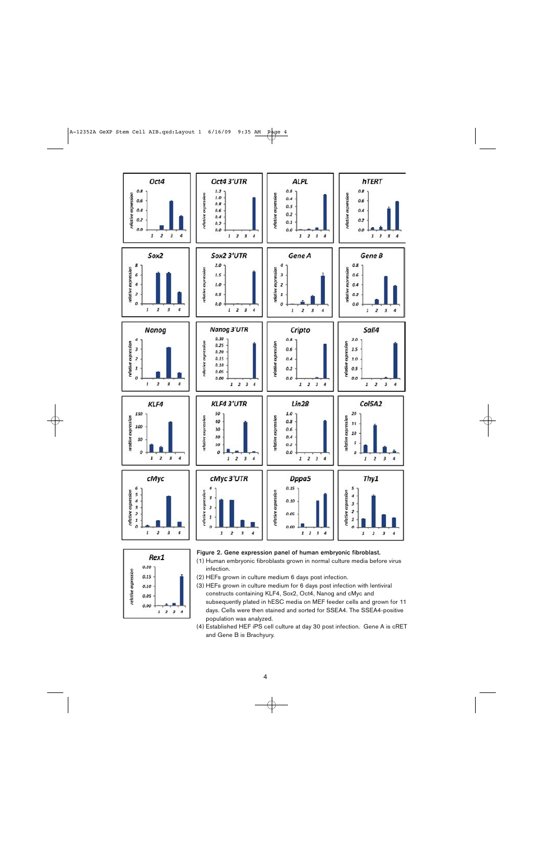



#### Figure 2. Gene expression panel of human embryonic fibroblast.

- (1) Human embryonic fibroblasts grown in normal culture media before virus infection.
- (2) HEFs grown in culture medium 6 days post infection.
- (3) HEFs grown in culture medium for 6 days post infection with lentiviral constructs containing KLF4, Sox2, Oct4, Nanog and cMyc and subsequently plated in hESC media on MEF feeder cells and grown for 11 days. Cells were then stained and sorted for SSEA4. The SSEA4-positive population was analyzed.
- (4) Established HEF iPS cell culture at day 30 post infection. Gene A is cRET and Gene B is Brachyury.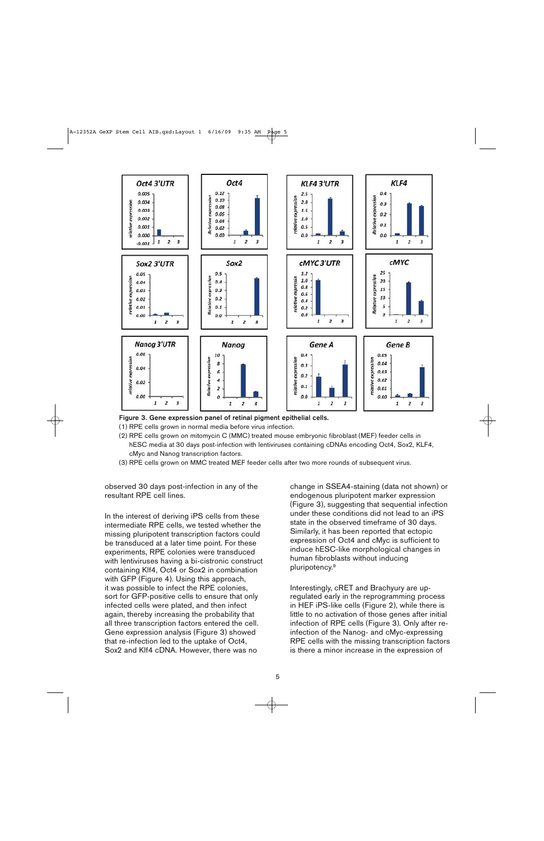

Figure 3. Gene expression panel of retinal pigment epithelial cells.

- (1) RPE cells grown in normal media before virus infection.
- (2) RPE cells grown on mitomycin C (MMC) treated mouse embryonic fibroblast (MEF) feeder cells in hESC media at 30 days post-infection with lentiviruses containing cDNAs encoding Oct4, Sox2, KLF4, cMyc and Nanog transcription factors.
- (3) RPE cells grown on MMC treated MEF feeder cells after two more rounds of subsequent virus.

observed 30 days post-infection in any of the resultant RPE cell lines.

In the interest of deriving iPS cells from these intermediate RPE cells, we tested whether the missing pluripotent transcription factors could be transduced at a later time point. For these experiments, RPE colonies were transduced with lentiviruses having a bi-cistronic construct containing Klf4, Oct4 or Sox2 in combination with GFP (Figure 4). Using this approach, it was possible to infect the RPE colonies, sort for GFP-positive cells to ensure that only infected cells were plated, and then infect again, thereby increasing the probability that all three transcription factors entered the cell. Gene expression analysis (Figure 3) showed that re-infection led to the uptake of Oct4, Sox2 and Klf4 cDNA. However, there was no

change in SSEA4-staining (data not shown) or endogenous pluripotent marker expression (Figure 3), suggesting that sequential infection under these conditions did not lead to an iPS state in the observed timeframe of 30 days. Similarly, it has been reported that ectopic expression of Oct4 and cMyc is sufficient to induce hESC-like morphological changes in human fibroblasts without inducing pluripotency.9

Interestingly, cRET and Brachyury are upregulated early in the reprogramming process in HEF iPS-like cells (Figure 2), while there is little to no activation of those genes after initial infection of RPE cells (Figure 3). Only after reinfection of the Nanog- and cMyc-expressing RPE cells with the missing transcription factors is there a minor increase in the expression of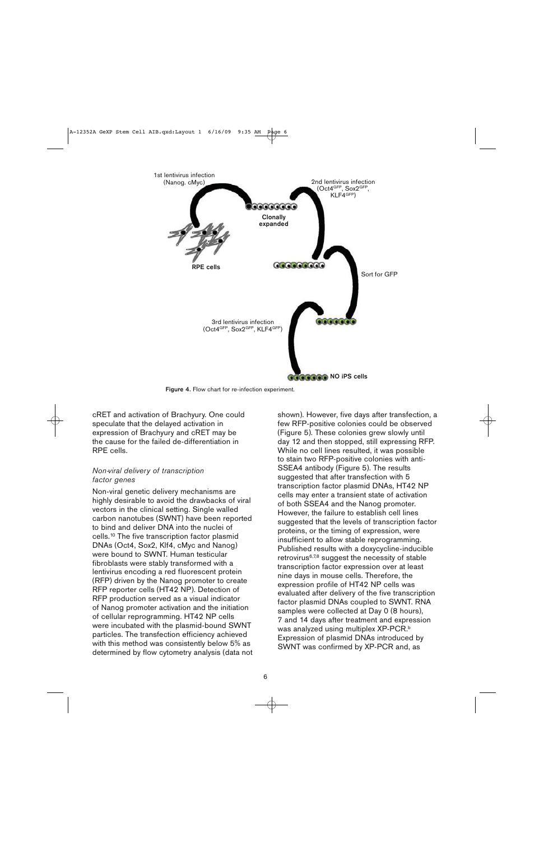

Figure 4. Flow chart for re-infection experiment.

cRET and activation of Brachyury. One could speculate that the delayed activation in expression of Brachyury and cRET may be the cause for the failed de-differentiation in RPE cells.

### Non-viral delivery of transcription factor genes

Non-viral genetic delivery mechanisms are highly desirable to avoid the drawbacks of viral vectors in the clinical setting. Single walled carbon nanotubes (SWNT) have been reported to bind and deliver DNA into the nuclei of cells.10 The five transcription factor plasmid DNAs (Oct4, Sox2, Klf4, cMyc and Nanog) were bound to SWNT. Human testicular fibroblasts were stably transformed with a lentivirus encoding a red fluorescent protein (RFP) driven by the Nanog promoter to create RFP reporter cells (HT42 NP). Detection of RFP production served as a visual indicator of Nanog promoter activation and the initiation of cellular reprogramming. HT42 NP cells were incubated with the plasmid-bound SWNT particles. The transfection efficiency achieved with this method was consistently below 5% as determined by flow cytometry analysis (data not shown). However, five days after transfection, a few RFP-positive colonies could be observed (Figure 5). These colonies grew slowly until day 12 and then stopped, still expressing RFP. While no cell lines resulted, it was possible to stain two RFP-positive colonies with anti-SSEA4 antibody (Figure 5). The results suggested that after transfection with 5 transcription factor plasmid DNAs, HT42 NP cells may enter a transient state of activation of both SSEA4 and the Nanog promoter. However, the failure to establish cell lines suggested that the levels of transcription factor proteins, or the timing of expression, were insufficient to allow stable reprogramming. Published results with a doxycycline-inducible retrovirus6,7,8 suggest the necessity of stable transcription factor expression over at least nine days in mouse cells. Therefore, the expression profile of HT42 NP cells was evaluated after delivery of the five transcription factor plasmid DNAs coupled to SWNT. RNA samples were collected at Day 0 (8 hours), 7 and 14 days after treatment and expression was analyzed using multiplex XP-PCR.<sup>b</sup> Expression of plasmid DNAs introduced by SWNT was confirmed by XP-PCR and, as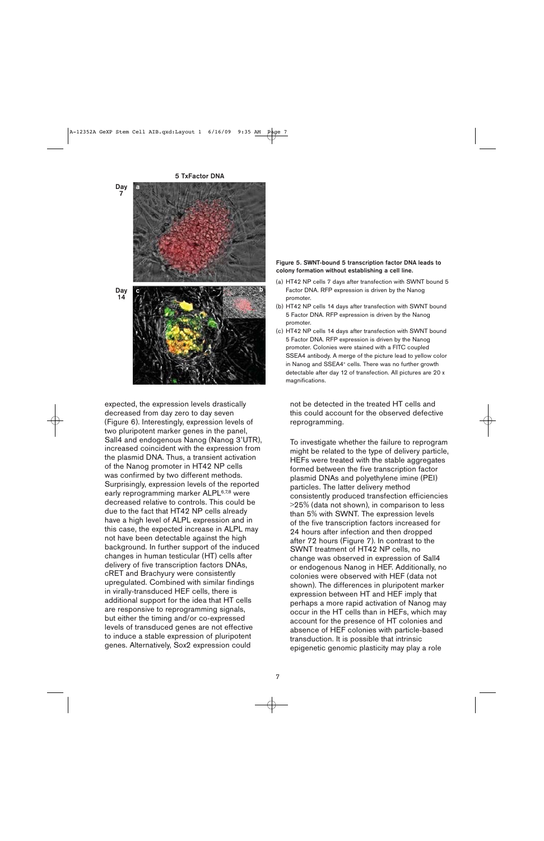

expected, the expression levels drastically decreased from day zero to day seven (Figure 6). Interestingly, expression levels of two pluripotent marker genes in the panel, Sall4 and endogenous Nanog (Nanog 3'UTR), increased coincident with the expression from the plasmid DNA. Thus, a transient activation of the Nanog promoter in HT42 NP cells was confirmed by two different methods. Surprisingly, expression levels of the reported early reprogramming marker ALPL<sup>6,7,8</sup> were decreased relative to controls. This could be due to the fact that HT42 NP cells already have a high level of ALPL expression and in this case, the expected increase in ALPL may not have been detectable against the high background. In further support of the induced changes in human testicular (HT) cells after delivery of five transcription factors DNAs, cRET and Brachyury were consistently upregulated. Combined with similar findings in virally-transduced HEF cells, there is additional support for the idea that HT cells are responsive to reprogramming signals, but either the timing and/or co-expressed levels of transduced genes are not effective to induce a stable expression of pluripotent genes. Alternatively, Sox2 expression could

#### Figure 5. SWNT-bound 5 transcription factor DNA leads to colony formation without establishing a cell line.

- (a) HT42 NP cells 7 days after transfection with SWNT bound 5 Factor DNA. RFP expression is driven by the Nanog promoter.
- (b) HT42 NP cells 14 days after transfection with SWNT bound 5 Factor DNA. RFP expression is driven by the Nanog promoter.
- (c) HT42 NP cells 14 days after transfection with SWNT bound 5 Factor DNA. RFP expression is driven by the Nanog promoter. Colonies were stained with a FITC coupled SSEA4 antibody. A merge of the picture lead to yellow color in Nanog and SSEA4<sup>+</sup> cells. There was no further growth detectable after day 12 of transfection. All pictures are 20 x magnifications.

not be detected in the treated HT cells and this could account for the observed defective reprogramming.

To investigate whether the failure to reprogram might be related to the type of delivery particle, HEFs were treated with the stable aggregates formed between the five transcription factor plasmid DNAs and polyethylene imine (PEI) particles. The latter delivery method consistently produced transfection efficiencies >25% (data not shown), in comparison to less than 5% with SWNT. The expression levels of the five transcription factors increased for 24 hours after infection and then dropped after 72 hours (Figure 7). In contrast to the SWNT treatment of HT42 NP cells, no change was observed in expression of Sall4 or endogenous Nanog in HEF. Additionally, no colonies were observed with HEF (data not shown). The differences in pluripotent marker expression between HT and HEF imply that perhaps a more rapid activation of Nanog may occur in the HT cells than in HEFs, which may account for the presence of HT colonies and absence of HEF colonies with particle-based transduction. It is possible that intrinsic epigenetic genomic plasticity may play a role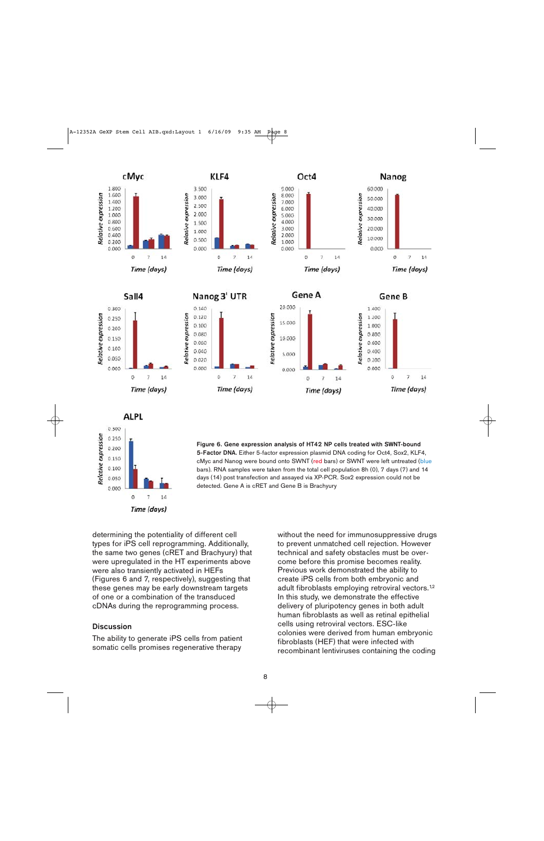





determining the potentiality of different cell types for iPS cell reprogramming. Additionally, the same two genes (cRET and Brachyury) that were upregulated in the HT experiments above were also transiently activated in HEFs (Figures 6 and 7, respectively), suggesting that these genes may be early downstream targets of one or a combination of the transduced cDNAs during the reprogramming process.

#### **Discussion**

The ability to generate iPS cells from patient somatic cells promises regenerative therapy

without the need for immunosuppressive drugs to prevent unmatched cell rejection. However technical and safety obstacles must be over come before this promise becomes reality. Previous work demonstrated the ability to create iPS cells from both embryonic and adult fibroblasts employing retroviral vectors.<sup>12</sup> In this study, we demonstrate the effective delivery of pluripotency genes in both adult human fibroblasts as well as retinal epithelial cells using retroviral vectors. ESC-like colonies were derived from human embryonic fibroblasts (HEF) that were infected with recombinant lentiviruses containing the coding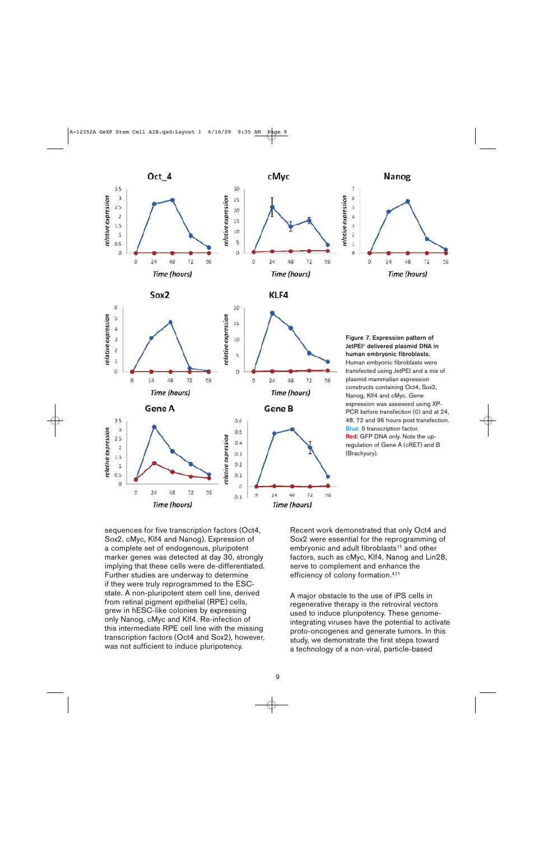

sequences for five transcription factors (Oct4, Sox2, cMyc, Klf4 and Nanog). Expression of a complete set of endogenous, pluripotent marker genes was detected at day 30, strongly implying that these cells were de-differentiated. Further studies are underway to determine if they were truly reprogrammed to the ESCstate. A non-pluripotent stem cell line, derived from retinal pigment epithelial (RPE) cells, grew in hESC-like colonies by expressing only Nanog, cMyc and Klf4. Re-infection of this intermediate RPE cell line with the missing transcription factors (Oct4 and Sox2), however, was not sufficient to induce pluripotency.

Recent work demonstrated that only Oct4 and Sox2 were essential for the reprogramming of embryonic and adult fibroblasts<sup>11</sup> and other factors, such as cMyc, Klf4, Nanog and Lin28, serve to complement and enhance the efficiency of colony formation.4,11

A major obstacle to the use of iPS cells in regenerative therapy is the retroviral vectors used to induce pluripotency. These genomeintegrating viruses have the potential to activate proto-oncogenes and generate tumors. In this study, we demonstrate the first steps toward a technology of a non-viral, particle-based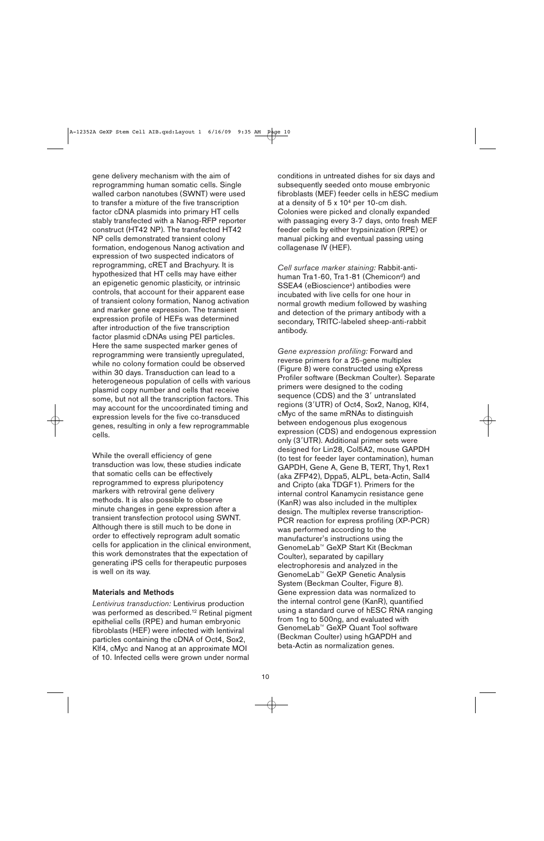gene delivery mechanism with the aim of reprogramming human somatic cells. Single walled carbon nanotubes (SWNT) were used to transfer a mixture of the five transcription factor cDNA plasmids into primary HT cells stably transfected with a Nanog-RFP reporter construct (HT42 NP). The transfected HT42 NP cells demonstrated transient colony formation, endogenous Nanog activation and expression of two suspected indicators of reprogramming, cRET and Brachyury. It is hypothesized that HT cells may have either an epigenetic genomic plasticity, or intrinsic controls, that account for their apparent ease of transient colony formation, Nanog activation and marker gene expression. The transient expression profile of HEFs was determined after introduction of the five transcription factor plasmid cDNAs using PEI particles. Here the same suspected marker genes of reprogramming were transiently upregulated, while no colony formation could be observed within 30 days. Transduction can lead to a heterogeneous population of cells with various plasmid copy number and cells that receive some, but not all the transcription factors. This may account for the uncoordinated timing and expression levels for the five co-transduced genes, resulting in only a few reprogrammable cells.

While the overall efficiency of gene transduction was low, these studies indicate that somatic cells can be effectively reprogrammed to express pluripotency markers with retroviral gene delivery methods. It is also possible to observe minute changes in gene expression after a transient transfection protocol using SWNT. Although there is still much to be done in order to effectively reprogram adult somatic cells for application in the clinical environment, this work demonstrates that the expectation of generating iPS cells for therapeutic purposes is well on its way.

#### Materials and Methods

Lentivirus transduction: Lentivirus production was performed as described.<sup>12</sup> Retinal pigment epithelial cells (RPE) and human embryonic fibroblasts (HEF) were infected with lentiviral particles containing the cDNA of Oct4, Sox2, Klf4, cMyc and Nanog at an approximate MOI of 10. Infected cells were grown under normal

conditions in untreated dishes for six days and subsequently seeded onto mouse embryonic fibroblasts (MEF) feeder cells in hESC medium at a density of 5 x 104 per 10-cm dish. Colonies were picked and clonally expanded with passaging every 3-7 days, onto fresh MEF feeder cells by either trypsinization (RPE) or manual picking and eventual passing using collagenase IV (HEF).

Cell surface marker staining: Rabbit-antihuman Tra1-60, Tra1-81 (Chemicon<sup>d</sup>) and SSEA4 (eBioscience<sup>a</sup>) antibodies were incubated with live cells for one hour in normal growth medium followed by washing and detection of the primary antibody with a secondary, TRITC-labeled sheep-anti-rabbit antibody.

Gene expression profiling: Forward and reverse primers for a 25-gene multiplex (Figure 8) were constructed using eXpress Profiler software (Beckman Coulter). Separate primers were designed to the coding sequence (CDS) and the 3' untranslated regions (3'UTR) of Oct4, Sox2, Nanog, Klf4, cMyc of the same mRNAs to distinguish between endogenous plus exogenous expression (CDS) and endogenous expression only (3'UTR). Additional primer sets were designed for Lin28, Col5A2, mouse GAPDH (to test for feeder layer contamination), human GAPDH, Gene A, Gene B, TERT, Thy1, Rex1 (aka ZFP42), Dppa5, ALPL, beta-Actin, Sall4 and Cripto (aka TDGF1). Primers for the internal control Kanamycin resistance gene (KanR) was also included in the multiplex design. The multiplex reverse transcription-PCR reaction for express profiling (XP-PCR) was performed according to the manufacturer's instructions using the GenomeLab™ GeXP Start Kit (Beckman Coulter), separated by capillary electrophoresis and analyzed in the GenomeLab™ GeXP Genetic Analysis System (Beckman Coulter, Figure 8). Gene expression data was normalized to the internal control gene (KanR), quantified using a standard curve of hESC RNA ranging from 1ng to 500ng, and evaluated with GenomeLab™ GeXP Quant Tool software (Beckman Coulter) using hGAPDH and beta-Actin as normalization genes.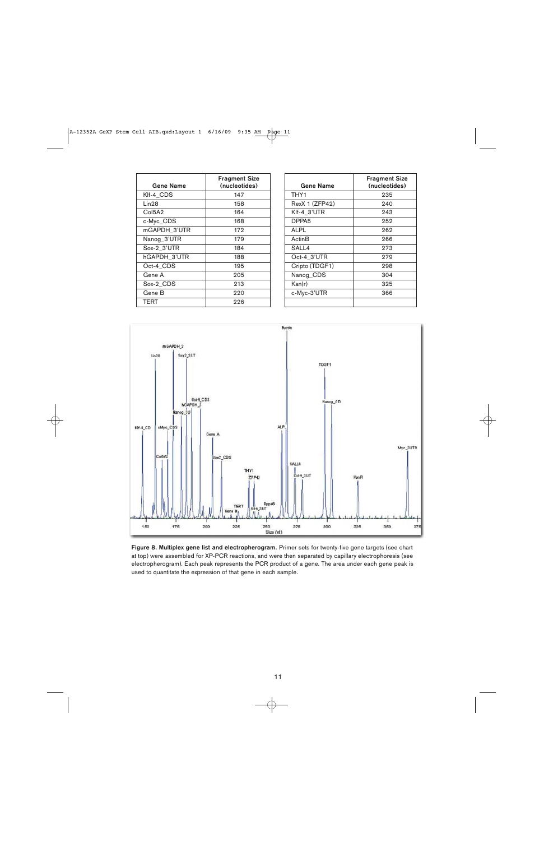| Gene Name                       | <b>Fragment Size</b><br>(nucleotides) |
|---------------------------------|---------------------------------------|
| Klf-4 CDS                       | 147                                   |
| Lin28                           | 158                                   |
| Col <sub>5</sub> A <sub>2</sub> | 164                                   |
| c-Myc_CDS                       | 168                                   |
| mGAPDH 3'UTR                    | 172                                   |
| Nanog_3'UTR                     | 179                                   |
| Sox-2 3'UTR                     | 184                                   |
| hGAPDH 3'UTR                    | 188                                   |
| Oct-4 CDS                       | 195                                   |
| Gene A                          | 205                                   |
| Sox-2 CDS                       | 213                                   |
| Gene B                          | 220                                   |
| TERT                            | 226                                   |

| <b>Gene Name</b>   | <b>Fragment Size</b><br>(nucleotides) |
|--------------------|---------------------------------------|
| THY1               | 235                                   |
| RexX 1 (ZFP42)     | 240                                   |
| Klf-4_3'UTR        | 243                                   |
| DPPA <sub>5</sub>  | 252                                   |
| <b>ALPL</b>        | 262                                   |
| Actin <sub>B</sub> | 266                                   |
| SALL4              | 273                                   |
| Oct-4 3'UTR        | 279                                   |
| Cripto (TDGF1)     | 298                                   |
| Nanog_CDS          | 304                                   |
| Kan(r)             | 325                                   |
| c-Myc-3'UTR        | 366                                   |
|                    |                                       |



Figure 8. Multiplex gene list and electropherogram. Primer sets for twenty-five gene targets (see chart at top) were assembled for XP-PCR reactions, and were then separated by capillary electrophoresis (see electropherogram). Each peak represents the PCR product of a gene. The area under each gene peak is used to quantitate the expression of that gene in each sample.